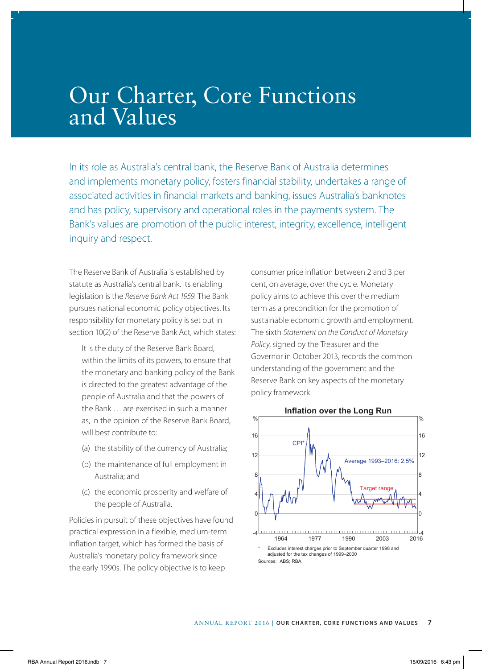# Our Charter, Core Functions and Values

In its role as Australia's central bank, the Reserve Bank of Australia determines and implements monetary policy, fosters financial stability, undertakes a range of associated activities in financial markets and banking, issues Australia's banknotes and has policy, supervisory and operational roles in the payments system. The Bank's values are promotion of the public interest, integrity, excellence, intelligent inquiry and respect.

The Reserve Bank of Australia is established by statute as Australia's central bank. Its enabling legislation is the *Reserve Bank Act 1959*. The Bank pursues national economic policy objectives. Its responsibility for monetary policy is set out in section 10(2) of the Reserve Bank Act, which states:

It is the duty of the Reserve Bank Board, within the limits of its powers, to ensure that the monetary and banking policy of the Bank is directed to the greatest advantage of the people of Australia and that the powers of the Bank … are exercised in such a manner as, in the opinion of the Reserve Bank Board, will best contribute to:

- (a) the stability of the currency of Australia;
- (b) the maintenance of full employment in Australia; and
- (c) the economic prosperity and welfare of the people of Australia.

Policies in pursuit of these objectives have found practical expression in a flexible, medium-term inflation target, which has formed the basis of Australia's monetary policy framework since the early 1990s. The policy objective is to keep

consumer price inflation between 2 and 3 per cent, on average, over the cycle. Monetary policy aims to achieve this over the medium term as a precondition for the promotion of sustainable economic growth and employment. The sixth *Statement on the Conduct of Monetary Policy*, signed by the Treasurer and the Governor in October 2013, records the common understanding of the government and the Reserve Bank on key aspects of the monetary policy framework.



#### **Inflation over the Long Run**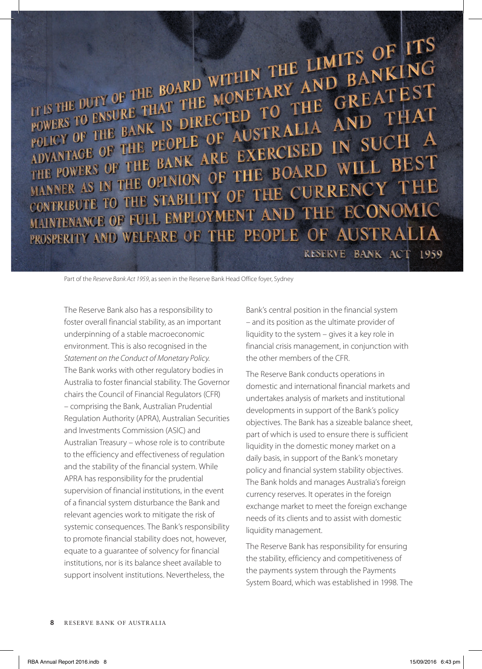THE BOARD WITHIN THE LIMITS OF ITS THE BOARD WITHIN THE LIMITS OF ITS THE ROARD WITHIN THE LIMITS OF ITS IT IS THE DUTY OF THE BOARD WITHIN THE LIMITS OF BANKING<br>
FOWERS TO ENSURE THAT THE MONETARY AND BANKING<br>
POWERS TO ENSURE THAT THE MONETARY TO THE GREATEST TIS THE DUTY OF THE BOARD WITHIN AND BAINEST THE DUTY OF THE BOARD WITHIN THE GREATEST CONSUMER THAT THE MONETARY AND THAT POWERS TO ENSURE THAT THE BANK IS DIRECTED TO THE AND THAT FOLICY OF THE BANK IS DIRECTED TO THE GREATED THAT FURNIS TO ENSURE THAT THE MOTED TO THE GREATED THAT THAT POURS OF THE PEOPLE OF AUSTRALIA AND THAT **POLICY OF THE BANK OF AUSTRALIA TO SUCH ADVANTAGE OF THE PEOPLE OF AUSTRALIA IN SUCH ADVANTAGE OF THE BANK ARE EXERCISED IN SUCH BES** THE POWERS OF THE BANK ARE EXERCISED IN THE FOWERS OF THE BANK ARE EXERCISED WILL BEST MANNER AS IN THE OPINION OF THE CURRENCY THE CONTRIBUTE TO THE STABILITY OF THE CURRENCY THE CONTRIBUTE TO THE STABILITY OF THE TREE BOOM NO. ON THE RECONOMIC PROSPERITY AND WELFARE OF THE PEOPLE OF AUSTRALIA

RESERVE BANK ACT 1959

Part of the *Reserve Bank Act 1959*, as seen in the Reserve Bank Head Office foyer, Sydney

The Reserve Bank also has a responsibility to foster overall financial stability, as an important underpinning of a stable macroeconomic environment. This is also recognised in the *Statement on the Conduct of Monetary Policy*. The Bank works with other regulatory bodies in Australia to foster financial stability. The Governor chairs the Council of Financial Regulators (CFR) – comprising the Bank, Australian Prudential Regulation Authority (APRA), Australian Securities and Investments Commission (ASIC) and Australian Treasury – whose role is to contribute to the efficiency and effectiveness of regulation and the stability of the financial system. While APRA has responsibility for the prudential supervision of financial institutions, in the event of a financial system disturbance the Bank and relevant agencies work to mitigate the risk of systemic consequences. The Bank's responsibility to promote financial stability does not, however, equate to a guarantee of solvency for financial institutions, nor is its balance sheet available to support insolvent institutions. Nevertheless, the

Bank's central position in the financial system – and its position as the ultimate provider of liquidity to the system – gives it a key role in financial crisis management, in conjunction with the other members of the CFR.

The Reserve Bank conducts operations in domestic and international financial markets and undertakes analysis of markets and institutional developments in support of the Bank's policy objectives. The Bank has a sizeable balance sheet, part of which is used to ensure there is sufficient liquidity in the domestic money market on a daily basis, in support of the Bank's monetary policy and financial system stability objectives. The Bank holds and manages Australia's foreign currency reserves. It operates in the foreign exchange market to meet the foreign exchange needs of its clients and to assist with domestic liquidity management.

The Reserve Bank has responsibility for ensuring the stability, efficiency and competitiveness of the payments system through the Payments System Board, which was established in 1998. The